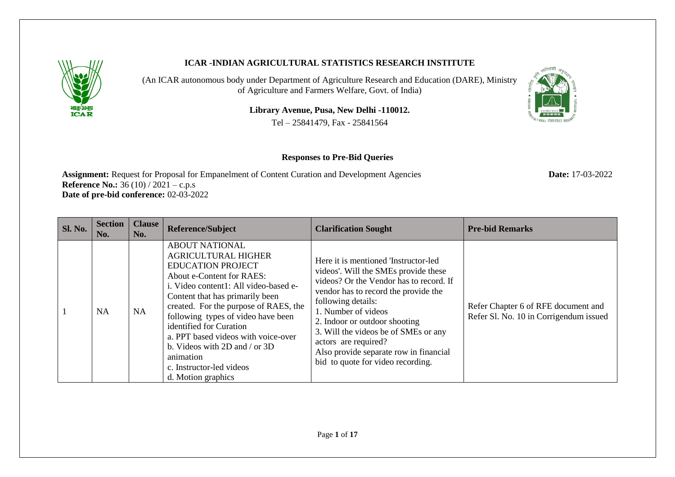

## **ICAR -INDIAN AGRICULTURAL STATISTICS RESEARCH INSTITUTE**

(An ICAR autonomous body under Department of Agriculture Research and Education (DARE), Ministry of Agriculture and Farmers Welfare, Govt. of India)

**Library Avenue, Pusa, New Delhi -110012.**

Tel – 25841479, Fax - 25841564

## **Responses to Pre-Bid Queries**

**Assignment:** Request for Proposal for Empanelment of Content Curation and Development Agencies **Date:** 17-03-2022 **Reference No.:** 36 (10) / 2021 – c.p.s **Date of pre-bid conference:** 02-03-2022

| <b>Sl. No.</b> | <b>Section</b><br>No. | <b>Clause</b><br>No. | <b>Reference/Subject</b>                                                                                                                                                                                                                                                                                                                                                                                                                      | <b>Clarification Sought</b>                                                                                                                                                                                                                                                                                                                                                                  | <b>Pre-bid Remarks</b>                                                        |
|----------------|-----------------------|----------------------|-----------------------------------------------------------------------------------------------------------------------------------------------------------------------------------------------------------------------------------------------------------------------------------------------------------------------------------------------------------------------------------------------------------------------------------------------|----------------------------------------------------------------------------------------------------------------------------------------------------------------------------------------------------------------------------------------------------------------------------------------------------------------------------------------------------------------------------------------------|-------------------------------------------------------------------------------|
|                | NA                    | <b>NA</b>            | <b>ABOUT NATIONAL</b><br><b>AGRICULTURAL HIGHER</b><br><b>EDUCATION PROJECT</b><br>About e-Content for RAES:<br>i. Video content1: All video-based e-<br>Content that has primarily been<br>created. For the purpose of RAES, the<br>following types of video have been<br>identified for Curation<br>a. PPT based videos with voice-over<br>b. Videos with $2D$ and / or $3D$<br>animation<br>c. Instructor-led videos<br>d. Motion graphics | Here it is mentioned 'Instructor-led<br>videos'. Will the SMEs provide these<br>videos? Or the Vendor has to record. If<br>vendor has to record the provide the<br>following details:<br>1. Number of videos<br>2. Indoor or outdoor shooting<br>3. Will the videos be of SMEs or any<br>actors are required?<br>Also provide separate row in financial<br>bid to quote for video recording. | Refer Chapter 6 of RFE document and<br>Refer Sl. No. 10 in Corrigendum issued |

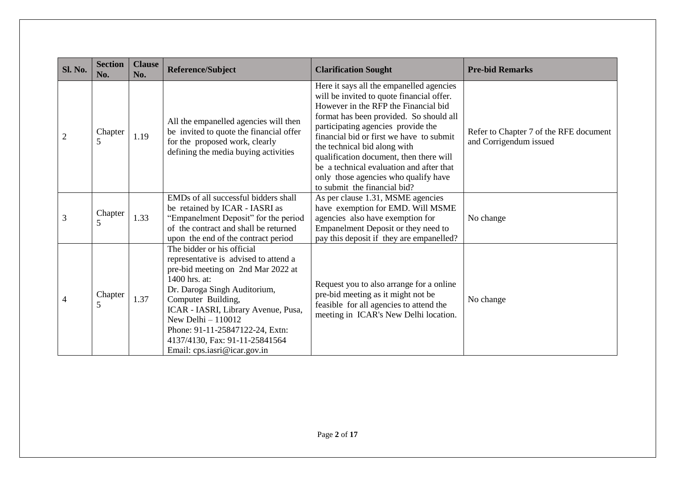| <b>Sl. No.</b> | <b>Section</b><br>No. | <b>Clause</b><br>No. | Reference/Subject                                                                                                                                                                                                                                                                                                                                   | <b>Clarification Sought</b>                                                                                                                                                                                                                                                                                                                                                                                                                               | <b>Pre-bid Remarks</b>                                           |
|----------------|-----------------------|----------------------|-----------------------------------------------------------------------------------------------------------------------------------------------------------------------------------------------------------------------------------------------------------------------------------------------------------------------------------------------------|-----------------------------------------------------------------------------------------------------------------------------------------------------------------------------------------------------------------------------------------------------------------------------------------------------------------------------------------------------------------------------------------------------------------------------------------------------------|------------------------------------------------------------------|
| $\overline{2}$ | Chapter<br>5          | 1.19                 | All the empanelled agencies will then<br>be invited to quote the financial offer<br>for the proposed work, clearly<br>defining the media buying activities                                                                                                                                                                                          | Here it says all the empanelled agencies<br>will be invited to quote financial offer.<br>However in the RFP the Financial bid<br>format has been provided. So should all<br>participating agencies provide the<br>financial bid or first we have to submit<br>the technical bid along with<br>qualification document, then there will<br>be a technical evaluation and after that<br>only those agencies who qualify have<br>to submit the financial bid? | Refer to Chapter 7 of the RFE document<br>and Corrigendum issued |
| 3              | Chapter<br>5          | 1.33                 | EMDs of all successful bidders shall<br>be retained by ICAR - IASRI as<br>"Empanelment Deposit" for the period<br>of the contract and shall be returned<br>upon the end of the contract period                                                                                                                                                      | As per clause 1.31, MSME agencies<br>have exemption for EMD. Will MSME<br>agencies also have exemption for<br>Empanelment Deposit or they need to<br>pay this deposit if they are empanelled?                                                                                                                                                                                                                                                             | No change                                                        |
| $\overline{4}$ | Chapter<br>5          | 1.37                 | The bidder or his official<br>representative is advised to attend a<br>pre-bid meeting on 2nd Mar 2022 at<br>1400 hrs. at:<br>Dr. Daroga Singh Auditorium,<br>Computer Building,<br>ICAR - IASRI, Library Avenue, Pusa,<br>New Delhi $-110012$<br>Phone: 91-11-25847122-24, Extn:<br>4137/4130, Fax: 91-11-25841564<br>Email: cps.iasri@icar.gov.in | Request you to also arrange for a online<br>pre-bid meeting as it might not be<br>feasible for all agencies to attend the<br>meeting in ICAR's New Delhi location.                                                                                                                                                                                                                                                                                        | No change                                                        |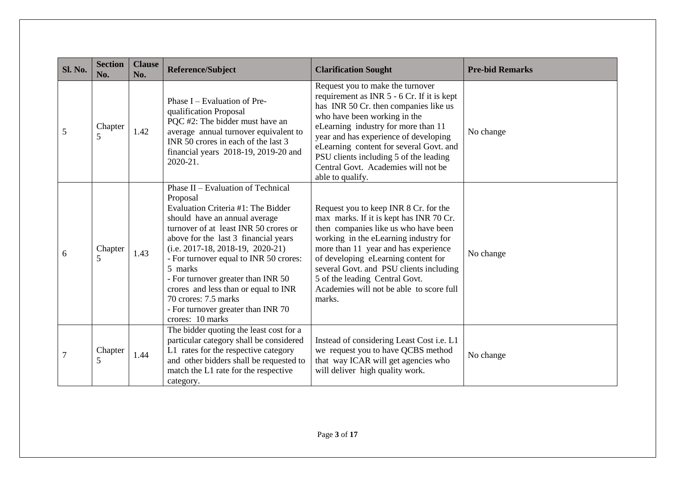| <b>Sl. No.</b> | <b>Section</b><br>No. | <b>Clause</b><br>No. | <b>Reference/Subject</b>                                                                                                                                                                                                                                                                                                                                                                                                                                          | <b>Clarification Sought</b>                                                                                                                                                                                                                                                                                                                                                             | <b>Pre-bid Remarks</b> |
|----------------|-----------------------|----------------------|-------------------------------------------------------------------------------------------------------------------------------------------------------------------------------------------------------------------------------------------------------------------------------------------------------------------------------------------------------------------------------------------------------------------------------------------------------------------|-----------------------------------------------------------------------------------------------------------------------------------------------------------------------------------------------------------------------------------------------------------------------------------------------------------------------------------------------------------------------------------------|------------------------|
| 5              | Chapter<br>5          | 1.42                 | Phase $I$ – Evaluation of Pre-<br>qualification Proposal<br>PQC #2: The bidder must have an<br>average annual turnover equivalent to<br>INR 50 crores in each of the last 3<br>financial years 2018-19, 2019-20 and<br>2020-21.                                                                                                                                                                                                                                   | Request you to make the turnover<br>requirement as INR 5 - 6 Cr. If it is kept<br>has INR 50 Cr. then companies like us<br>who have been working in the<br>eLearning industry for more than 11<br>year and has experience of developing<br>eLearning content for several Govt. and<br>PSU clients including 5 of the leading<br>Central Govt. Academies will not be<br>able to qualify. | No change              |
| 6              | Chapter<br>5          | 1.43                 | Phase II – Evaluation of Technical<br>Proposal<br>Evaluation Criteria #1: The Bidder<br>should have an annual average<br>turnover of at least INR 50 crores or<br>above for the last 3 financial years<br>$(i.e. 2017-18, 2018-19, 2020-21)$<br>- For turnover equal to INR 50 crores:<br>5 marks<br>- For turnover greater than INR 50<br>crores and less than or equal to INR<br>70 crores: 7.5 marks<br>- For turnover greater than INR 70<br>crores: 10 marks | Request you to keep INR 8 Cr. for the<br>max marks. If it is kept has INR 70 Cr.<br>then companies like us who have been<br>working in the eLearning industry for<br>more than 11 year and has experience<br>of developing eLearning content for<br>several Govt. and PSU clients including<br>5 of the leading Central Govt.<br>Academies will not be able to score full<br>marks.     | No change              |
| $\overline{7}$ | Chapter<br>5          | 1.44                 | The bidder quoting the least cost for a<br>particular category shall be considered<br>L1 rates for the respective category<br>and other bidders shall be requested to<br>match the L1 rate for the respective<br>category.                                                                                                                                                                                                                                        | Instead of considering Least Cost i.e. L1<br>we request you to have QCBS method<br>that way ICAR will get agencies who<br>will deliver high quality work.                                                                                                                                                                                                                               | No change              |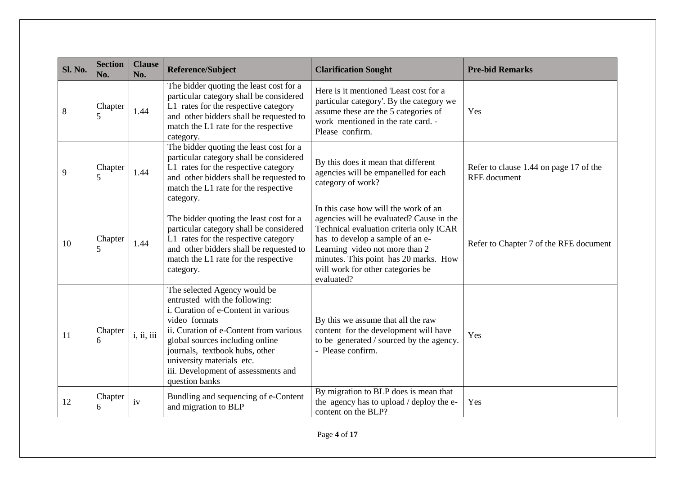| <b>Sl. No.</b> | <b>Section</b><br>No. | <b>Clause</b><br>No. | <b>Reference/Subject</b>                                                                                                                                                                                                                                                                                                   | <b>Clarification Sought</b>                                                                                                                                                                                                                                                                   | <b>Pre-bid Remarks</b>                                        |
|----------------|-----------------------|----------------------|----------------------------------------------------------------------------------------------------------------------------------------------------------------------------------------------------------------------------------------------------------------------------------------------------------------------------|-----------------------------------------------------------------------------------------------------------------------------------------------------------------------------------------------------------------------------------------------------------------------------------------------|---------------------------------------------------------------|
| 8              | Chapter<br>5          | 1.44                 | The bidder quoting the least cost for a<br>particular category shall be considered<br>L1 rates for the respective category<br>and other bidders shall be requested to<br>match the L1 rate for the respective<br>category.                                                                                                 | Here is it mentioned 'Least cost for a<br>particular category'. By the category we<br>assume these are the 5 categories of<br>work mentioned in the rate card. -<br>Please confirm.                                                                                                           | Yes                                                           |
| 9              | Chapter<br>5          | 1.44                 | The bidder quoting the least cost for a<br>particular category shall be considered<br>L1 rates for the respective category<br>and other bidders shall be requested to<br>match the L1 rate for the respective<br>category.                                                                                                 | By this does it mean that different<br>agencies will be empanelled for each<br>category of work?                                                                                                                                                                                              | Refer to clause 1.44 on page 17 of the<br><b>RFE</b> document |
| 10             | Chapter<br>5          | 1.44                 | The bidder quoting the least cost for a<br>particular category shall be considered<br>L1 rates for the respective category<br>and other bidders shall be requested to<br>match the L1 rate for the respective<br>category.                                                                                                 | In this case how will the work of an<br>agencies will be evaluated? Cause in the<br>Technical evaluation criteria only ICAR<br>has to develop a sample of an e-<br>Learning video not more than 2<br>minutes. This point has 20 marks. How<br>will work for other categories be<br>evaluated? | Refer to Chapter 7 of the RFE document                        |
| 11             | Chapter<br>6          | i, ii, iii           | The selected Agency would be<br>entrusted with the following:<br>i. Curation of e-Content in various<br>video formats<br>ii. Curation of e-Content from various<br>global sources including online<br>journals, textbook hubs, other<br>university materials etc.<br>iii. Development of assessments and<br>question banks | By this we assume that all the raw<br>content for the development will have<br>to be generated / sourced by the agency.<br>- Please confirm.                                                                                                                                                  | Yes                                                           |
| 12             | Chapter<br>6          | iv                   | Bundling and sequencing of e-Content<br>and migration to BLP                                                                                                                                                                                                                                                               | By migration to BLP does is mean that<br>the agency has to upload / deploy the e-<br>content on the BLP?                                                                                                                                                                                      | Yes                                                           |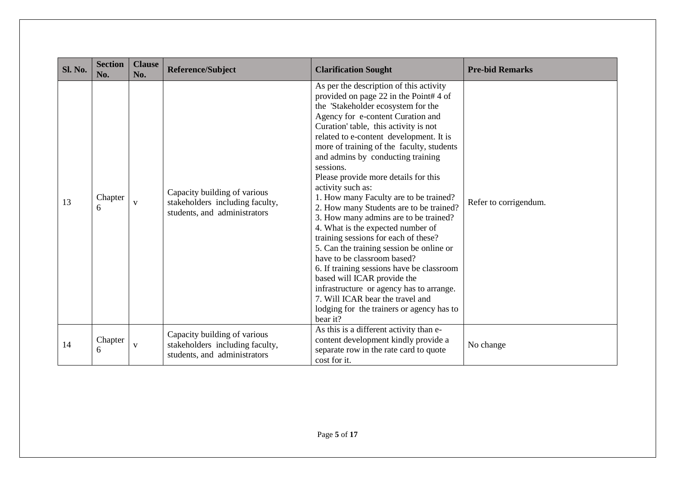| Sl. No. | <b>Section</b><br>No. | <b>Clause</b><br>No. | <b>Reference/Subject</b>                                                                        | <b>Clarification Sought</b>                                                                                                                                                                                                                                                                                                                                                                                                                                                                                                                                                                                                                                                                                                                                                                                                                                                                                            | <b>Pre-bid Remarks</b> |
|---------|-----------------------|----------------------|-------------------------------------------------------------------------------------------------|------------------------------------------------------------------------------------------------------------------------------------------------------------------------------------------------------------------------------------------------------------------------------------------------------------------------------------------------------------------------------------------------------------------------------------------------------------------------------------------------------------------------------------------------------------------------------------------------------------------------------------------------------------------------------------------------------------------------------------------------------------------------------------------------------------------------------------------------------------------------------------------------------------------------|------------------------|
| 13      | Chapter<br>6          | V                    | Capacity building of various<br>stakeholders including faculty,<br>students, and administrators | As per the description of this activity<br>provided on page 22 in the Point#4 of<br>the 'Stakeholder ecosystem for the<br>Agency for e-content Curation and<br>Curation' table, this activity is not<br>related to e-content development. It is<br>more of training of the faculty, students<br>and admins by conducting training<br>sessions.<br>Please provide more details for this<br>activity such as:<br>1. How many Faculty are to be trained?<br>2. How many Students are to be trained?<br>3. How many admins are to be trained?<br>4. What is the expected number of<br>training sessions for each of these?<br>5. Can the training session be online or<br>have to be classroom based?<br>6. If training sessions have be classroom<br>based will ICAR provide the<br>infrastructure or agency has to arrange.<br>7. Will ICAR bear the travel and<br>lodging for the trainers or agency has to<br>bear it? | Refer to corrigendum.  |
| 14      | Chapter<br>6          | $\mathbf V$          | Capacity building of various<br>stakeholders including faculty,<br>students, and administrators | As this is a different activity than e-<br>content development kindly provide a<br>separate row in the rate card to quote<br>cost for it.                                                                                                                                                                                                                                                                                                                                                                                                                                                                                                                                                                                                                                                                                                                                                                              | No change              |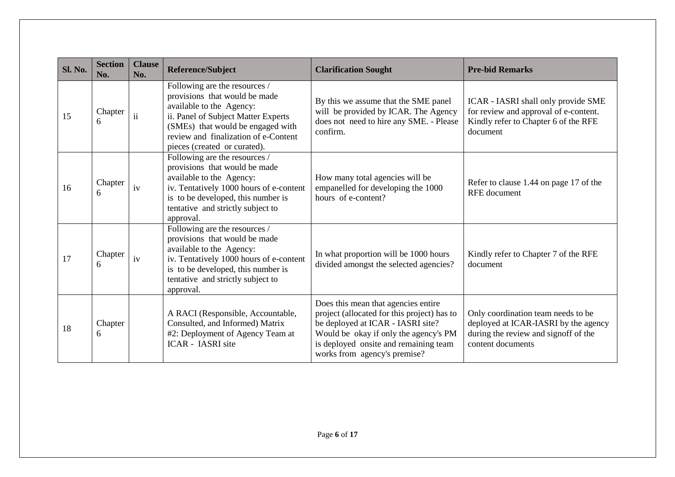| Sl. No. | <b>Section</b><br>No. | <b>Clause</b><br>No.    | <b>Reference/Subject</b>                                                                                                                                                                                                                       | <b>Clarification Sought</b>                                                                                                                                                                                                               | <b>Pre-bid Remarks</b>                                                                                                                  |
|---------|-----------------------|-------------------------|------------------------------------------------------------------------------------------------------------------------------------------------------------------------------------------------------------------------------------------------|-------------------------------------------------------------------------------------------------------------------------------------------------------------------------------------------------------------------------------------------|-----------------------------------------------------------------------------------------------------------------------------------------|
| 15      | Chapter<br>6          | $\overline{\mathbf{u}}$ | Following are the resources /<br>provisions that would be made<br>available to the Agency:<br>ii. Panel of Subject Matter Experts<br>(SMEs) that would be engaged with<br>review and finalization of e-Content<br>pieces (created or curated). | By this we assume that the SME panel<br>will be provided by ICAR. The Agency<br>does not need to hire any SME. - Please<br>confirm.                                                                                                       | ICAR - IASRI shall only provide SME<br>for review and approval of e-content.<br>Kindly refer to Chapter 6 of the RFE<br>document        |
| 16      | Chapter<br>6          | iv                      | Following are the resources /<br>provisions that would be made<br>available to the Agency:<br>iv. Tentatively 1000 hours of e-content<br>is to be developed, this number is<br>tentative and strictly subject to<br>approval.                  | How many total agencies will be<br>empanelled for developing the 1000<br>hours of e-content?                                                                                                                                              | Refer to clause 1.44 on page 17 of the<br><b>RFE</b> document                                                                           |
| 17      | Chapter<br>6          | iv                      | Following are the resources /<br>provisions that would be made<br>available to the Agency:<br>iv. Tentatively 1000 hours of e-content<br>is to be developed, this number is<br>tentative and strictly subject to<br>approval.                  | In what proportion will be 1000 hours<br>divided amongst the selected agencies?                                                                                                                                                           | Kindly refer to Chapter 7 of the RFE<br>document                                                                                        |
| 18      | Chapter<br>6          |                         | A RACI (Responsible, Accountable,<br>Consulted, and Informed) Matrix<br>#2: Deployment of Agency Team at<br><b>ICAR</b> - <b>IASRI</b> site                                                                                                    | Does this mean that agencies entire<br>project (allocated for this project) has to<br>be deployed at ICAR - IASRI site?<br>Would be okay if only the agency's PM<br>is deployed onsite and remaining team<br>works from agency's premise? | Only coordination team needs to be<br>deployed at ICAR-IASRI by the agency<br>during the review and signoff of the<br>content documents |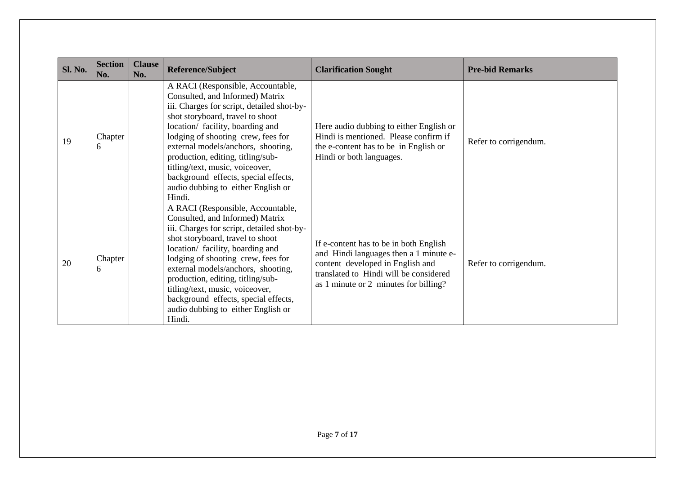| <b>Sl. No.</b> | <b>Section</b><br>No. | <b>Clause</b><br>No. | Reference/Subject                                                                                                                                                                                                                                                                                                                                                                                                                      | <b>Clarification Sought</b>                                                                                                                                                                             | <b>Pre-bid Remarks</b> |
|----------------|-----------------------|----------------------|----------------------------------------------------------------------------------------------------------------------------------------------------------------------------------------------------------------------------------------------------------------------------------------------------------------------------------------------------------------------------------------------------------------------------------------|---------------------------------------------------------------------------------------------------------------------------------------------------------------------------------------------------------|------------------------|
| 19             | Chapter<br>6          |                      | A RACI (Responsible, Accountable,<br>Consulted, and Informed) Matrix<br>iii. Charges for script, detailed shot-by-<br>shot storyboard, travel to shoot<br>location/ facility, boarding and<br>lodging of shooting crew, fees for<br>external models/anchors, shooting,<br>production, editing, titling/sub-<br>titling/text, music, voiceover,<br>background effects, special effects,<br>audio dubbing to either English or<br>Hindi. | Here audio dubbing to either English or<br>Hindi is mentioned. Please confirm if<br>the e-content has to be in English or<br>Hindi or both languages.                                                   | Refer to corrigendum.  |
| 20             | Chapter<br>6          |                      | A RACI (Responsible, Accountable,<br>Consulted, and Informed) Matrix<br>iii. Charges for script, detailed shot-by-<br>shot storyboard, travel to shoot<br>location/ facility, boarding and<br>lodging of shooting crew, fees for<br>external models/anchors, shooting,<br>production, editing, titling/sub-<br>titling/text, music, voiceover,<br>background effects, special effects,<br>audio dubbing to either English or<br>Hindi. | If e-content has to be in both English<br>and Hindi languages then a 1 minute e-<br>content developed in English and<br>translated to Hindi will be considered<br>as 1 minute or 2 minutes for billing? | Refer to corrigendum.  |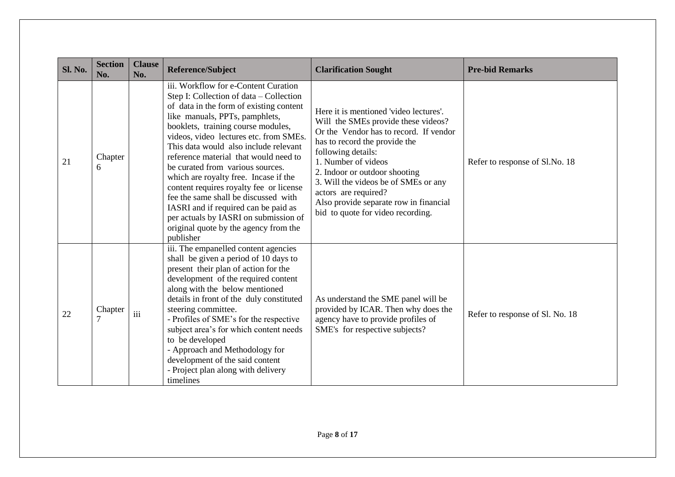| <b>Sl. No.</b> | <b>Section</b><br>No. | <b>Clause</b><br>No. | <b>Reference/Subject</b>                                                                                                                                                                                                                                                                                                                                                                                                                                                                                                                                                                                                              | <b>Clarification Sought</b>                                                                                                                                                                                                                                                                                                                                                           | <b>Pre-bid Remarks</b>          |
|----------------|-----------------------|----------------------|---------------------------------------------------------------------------------------------------------------------------------------------------------------------------------------------------------------------------------------------------------------------------------------------------------------------------------------------------------------------------------------------------------------------------------------------------------------------------------------------------------------------------------------------------------------------------------------------------------------------------------------|---------------------------------------------------------------------------------------------------------------------------------------------------------------------------------------------------------------------------------------------------------------------------------------------------------------------------------------------------------------------------------------|---------------------------------|
| 21             | Chapter<br>6          |                      | iii. Workflow for e-Content Curation<br>Step I: Collection of data - Collection<br>of data in the form of existing content<br>like manuals, PPTs, pamphlets,<br>booklets, training course modules,<br>videos, video lectures etc. from SMEs.<br>This data would also include relevant<br>reference material that would need to<br>be curated from various sources.<br>which are royalty free. Incase if the<br>content requires royalty fee or license<br>fee the same shall be discussed with<br>IASRI and if required can be paid as<br>per actuals by IASRI on submission of<br>original quote by the agency from the<br>publisher | Here it is mentioned 'video lectures'.<br>Will the SMEs provide these videos?<br>Or the Vendor has to record. If vendor<br>has to record the provide the<br>following details:<br>1. Number of videos<br>2. Indoor or outdoor shooting<br>3. Will the videos be of SMEs or any<br>actors are required?<br>Also provide separate row in financial<br>bid to quote for video recording. | Refer to response of Sl.No. 18  |
| 22             | Chapter               | iii                  | iii. The empanelled content agencies<br>shall be given a period of 10 days to<br>present their plan of action for the<br>development of the required content<br>along with the below mentioned<br>details in front of the duly constituted<br>steering committee.<br>- Profiles of SME's for the respective<br>subject area's for which content needs<br>to be developed<br>- Approach and Methodology for<br>development of the said content<br>- Project plan along with delivery<br>timelines                                                                                                                                      | As understand the SME panel will be<br>provided by ICAR. Then why does the<br>agency have to provide profiles of<br>SME's for respective subjects?                                                                                                                                                                                                                                    | Refer to response of Sl. No. 18 |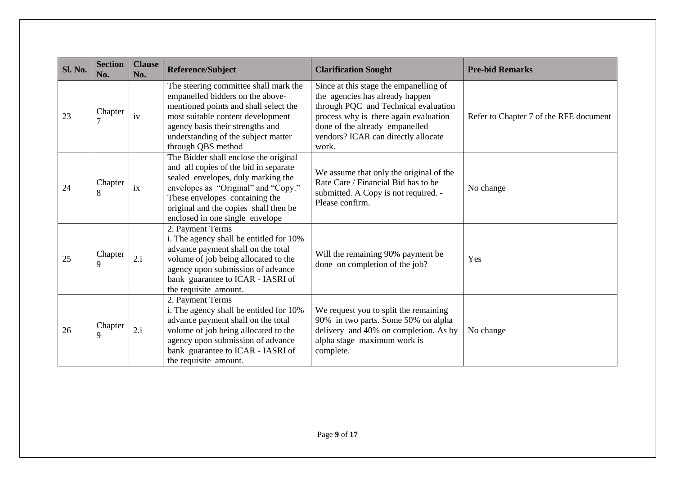| <b>Sl. No.</b> | <b>Section</b><br>No. | <b>Clause</b><br>No. | Reference/Subject                                                                                                                                                                                                                                                         | <b>Clarification Sought</b>                                                                                                                                                                                                                  | <b>Pre-bid Remarks</b>                 |
|----------------|-----------------------|----------------------|---------------------------------------------------------------------------------------------------------------------------------------------------------------------------------------------------------------------------------------------------------------------------|----------------------------------------------------------------------------------------------------------------------------------------------------------------------------------------------------------------------------------------------|----------------------------------------|
| 23             | Chapter               | iv                   | The steering committee shall mark the<br>empanelled bidders on the above-<br>mentioned points and shall select the<br>most suitable content development<br>agency basis their strengths and<br>understanding of the subject matter<br>through QBS method                  | Since at this stage the empanelling of<br>the agencies has already happen<br>through PQC and Technical evaluation<br>process why is there again evaluation<br>done of the already empanelled<br>vendors? ICAR can directly allocate<br>work. | Refer to Chapter 7 of the RFE document |
| 24             | Chapter<br>8          | ix                   | The Bidder shall enclose the original<br>and all copies of the bid in separate<br>sealed envelopes, duly marking the<br>envelopes as "Original" and "Copy."<br>These envelopes containing the<br>original and the copies shall then be<br>enclosed in one single envelope | We assume that only the original of the<br>Rate Care / Financial Bid has to be<br>submitted. A Copy is not required. -<br>Please confirm.                                                                                                    | No change                              |
| 25             | Chapter<br>9          | 2.i                  | 2. Payment Terms<br>i. The agency shall be entitled for 10%<br>advance payment shall on the total<br>volume of job being allocated to the<br>agency upon submission of advance<br>bank guarantee to ICAR - IASRI of<br>the requisite amount.                              | Will the remaining 90% payment be<br>done on completion of the job?                                                                                                                                                                          | Yes                                    |
| 26             | Chapter<br>9          | 2.i                  | 2. Payment Terms<br>i. The agency shall be entitled for 10%<br>advance payment shall on the total<br>volume of job being allocated to the<br>agency upon submission of advance<br>bank guarantee to ICAR - IASRI of<br>the requisite amount.                              | We request you to split the remaining<br>90% in two parts. Some 50% on alpha<br>delivery and 40% on completion. As by<br>alpha stage maximum work is<br>complete.                                                                            | No change                              |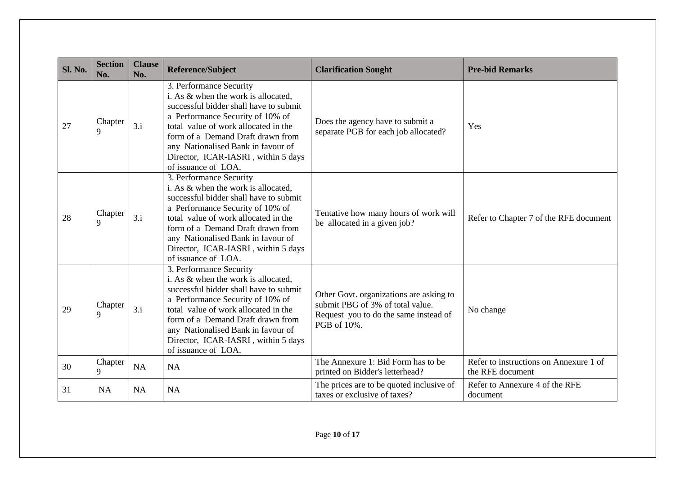| <b>Sl. No.</b> | <b>Section</b><br>No.  | <b>Clause</b><br>No. | <b>Reference/Subject</b>                                                                                                                                                                                                                                                                                                      | <b>Clarification Sought</b>                                                                                                         | <b>Pre-bid Remarks</b>                                     |
|----------------|------------------------|----------------------|-------------------------------------------------------------------------------------------------------------------------------------------------------------------------------------------------------------------------------------------------------------------------------------------------------------------------------|-------------------------------------------------------------------------------------------------------------------------------------|------------------------------------------------------------|
| 27             | Chapter<br>$\mathbf Q$ | 3.i                  | 3. Performance Security<br>i. As & when the work is allocated,<br>successful bidder shall have to submit<br>a Performance Security of 10% of<br>total value of work allocated in the<br>form of a Demand Draft drawn from<br>any Nationalised Bank in favour of<br>Director, ICAR-IASRI, within 5 days<br>of issuance of LOA. | Does the agency have to submit a<br>separate PGB for each job allocated?                                                            | Yes                                                        |
| 28             | Chapter<br>9           | 3.i                  | 3. Performance Security<br>i. As & when the work is allocated,<br>successful bidder shall have to submit<br>a Performance Security of 10% of<br>total value of work allocated in the<br>form of a Demand Draft drawn from<br>any Nationalised Bank in favour of<br>Director, ICAR-IASRI, within 5 days<br>of issuance of LOA. | Tentative how many hours of work will<br>be allocated in a given job?                                                               | Refer to Chapter 7 of the RFE document                     |
| 29             | Chapter<br>9           | 3.i                  | 3. Performance Security<br>i. As & when the work is allocated,<br>successful bidder shall have to submit<br>a Performance Security of 10% of<br>total value of work allocated in the<br>form of a Demand Draft drawn from<br>any Nationalised Bank in favour of<br>Director, ICAR-IASRI, within 5 days<br>of issuance of LOA. | Other Govt. organizations are asking to<br>submit PBG of 3% of total value.<br>Request you to do the same instead of<br>PGB of 10%. | No change                                                  |
| 30             | Chapter<br>9           | <b>NA</b>            | <b>NA</b>                                                                                                                                                                                                                                                                                                                     | The Annexure 1: Bid Form has to be<br>printed on Bidder's letterhead?                                                               | Refer to instructions on Annexure 1 of<br>the RFE document |
| 31             | <b>NA</b>              | NA                   | <b>NA</b>                                                                                                                                                                                                                                                                                                                     | The prices are to be quoted inclusive of<br>taxes or exclusive of taxes?                                                            | Refer to Annexure 4 of the RFE<br>document                 |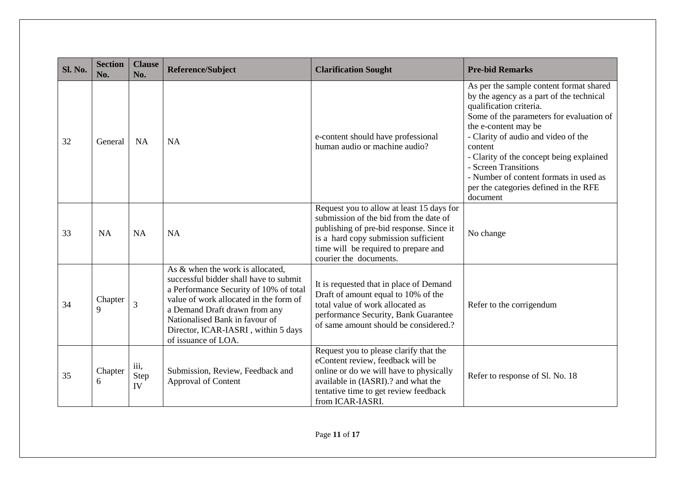| <b>Sl. No.</b> | <b>Section</b><br>No. | <b>Clause</b><br>No.      | <b>Reference/Subject</b>                                                                                                                                                                                                                                                                        | <b>Clarification Sought</b>                                                                                                                                                                                                               | <b>Pre-bid Remarks</b>                                                                                                                                                                                                                                                                                                                                                                                  |
|----------------|-----------------------|---------------------------|-------------------------------------------------------------------------------------------------------------------------------------------------------------------------------------------------------------------------------------------------------------------------------------------------|-------------------------------------------------------------------------------------------------------------------------------------------------------------------------------------------------------------------------------------------|---------------------------------------------------------------------------------------------------------------------------------------------------------------------------------------------------------------------------------------------------------------------------------------------------------------------------------------------------------------------------------------------------------|
| 32             | General               | <b>NA</b>                 | NA                                                                                                                                                                                                                                                                                              | e-content should have professional<br>human audio or machine audio?                                                                                                                                                                       | As per the sample content format shared<br>by the agency as a part of the technical<br>qualification criteria.<br>Some of the parameters for evaluation of<br>the e-content may be<br>- Clarity of audio and video of the<br>content<br>- Clarity of the concept being explained<br>- Screen Transitions<br>- Number of content formats in used as<br>per the categories defined in the RFE<br>document |
| 33             | <b>NA</b>             | <b>NA</b>                 | NA                                                                                                                                                                                                                                                                                              | Request you to allow at least 15 days for<br>submission of the bid from the date of<br>publishing of pre-bid response. Since it<br>is a hard copy submission sufficient<br>time will be required to prepare and<br>courier the documents. | No change                                                                                                                                                                                                                                                                                                                                                                                               |
| 34             | Chapter<br>9          | 3                         | As & when the work is allocated,<br>successful bidder shall have to submit<br>a Performance Security of 10% of total<br>value of work allocated in the form of<br>a Demand Draft drawn from any<br>Nationalised Bank in favour of<br>Director, ICAR-IASRI, within 5 days<br>of issuance of LOA. | It is requested that in place of Demand<br>Draft of amount equal to 10% of the<br>total value of work allocated as<br>performance Security, Bank Guarantee<br>of same amount should be considered.?                                       | Refer to the corrigendum                                                                                                                                                                                                                                                                                                                                                                                |
| 35             | Chapter<br>6          | iii,<br><b>Step</b><br>IV | Submission, Review, Feedback and<br>Approval of Content                                                                                                                                                                                                                                         | Request you to please clarify that the<br>eContent review, feedback will be<br>online or do we will have to physically<br>available in (IASRI).? and what the<br>tentative time to get review feedback<br>from ICAR-IASRI.                | Refer to response of Sl. No. 18                                                                                                                                                                                                                                                                                                                                                                         |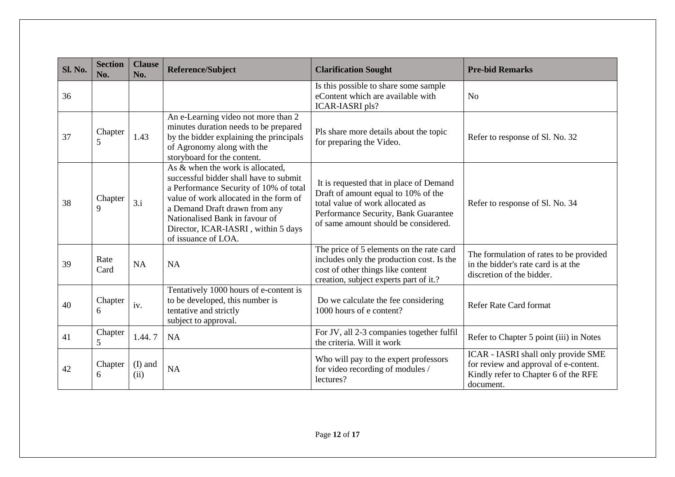| <b>Sl. No.</b> | <b>Section</b><br>No.  | <b>Clause</b><br>No. | <b>Reference/Subject</b>                                                                                                                                                                                                                                                                        | <b>Clarification Sought</b>                                                                                                                                                                        | <b>Pre-bid Remarks</b>                                                                                                            |
|----------------|------------------------|----------------------|-------------------------------------------------------------------------------------------------------------------------------------------------------------------------------------------------------------------------------------------------------------------------------------------------|----------------------------------------------------------------------------------------------------------------------------------------------------------------------------------------------------|-----------------------------------------------------------------------------------------------------------------------------------|
| 36             |                        |                      |                                                                                                                                                                                                                                                                                                 | Is this possible to share some sample<br>eContent which are available with<br><b>ICAR-IASRI</b> pls?                                                                                               | No                                                                                                                                |
| 37             | Chapter<br>5           | 1.43                 | An e-Learning video not more than 2<br>minutes duration needs to be prepared<br>by the bidder explaining the principals<br>of Agronomy along with the<br>storyboard for the content.                                                                                                            | Pls share more details about the topic<br>for preparing the Video.                                                                                                                                 | Refer to response of Sl. No. 32                                                                                                   |
| 38             | Chapter<br>$\mathbf Q$ | 3.i                  | As & when the work is allocated,<br>successful bidder shall have to submit<br>a Performance Security of 10% of total<br>value of work allocated in the form of<br>a Demand Draft drawn from any<br>Nationalised Bank in favour of<br>Director, ICAR-IASRI, within 5 days<br>of issuance of LOA. | It is requested that in place of Demand<br>Draft of amount equal to 10% of the<br>total value of work allocated as<br>Performance Security, Bank Guarantee<br>of same amount should be considered. | Refer to response of Sl. No. 34                                                                                                   |
| 39             | Rate<br>Card           | NA                   | NA                                                                                                                                                                                                                                                                                              | The price of 5 elements on the rate card<br>includes only the production cost. Is the<br>cost of other things like content<br>creation, subject experts part of it.?                               | The formulation of rates to be provided<br>in the bidder's rate card is at the<br>discretion of the bidder.                       |
| 40             | Chapter<br>6           | iv.                  | Tentatively 1000 hours of e-content is<br>to be developed, this number is<br>tentative and strictly<br>subject to approval.                                                                                                                                                                     | Do we calculate the fee considering<br>1000 hours of e content?                                                                                                                                    | <b>Refer Rate Card format</b>                                                                                                     |
| 41             | Chapter<br>5           | 1.44.7               | <b>NA</b>                                                                                                                                                                                                                                                                                       | For JV, all 2-3 companies together fulfil<br>the criteria. Will it work                                                                                                                            | Refer to Chapter 5 point (iii) in Notes                                                                                           |
| 42             | Chapter<br>6           | $(I)$ and<br>(ii)    | <b>NA</b>                                                                                                                                                                                                                                                                                       | Who will pay to the expert professors<br>for video recording of modules /<br>lectures?                                                                                                             | ICAR - IASRI shall only provide SME<br>for review and approval of e-content.<br>Kindly refer to Chapter 6 of the RFE<br>document. |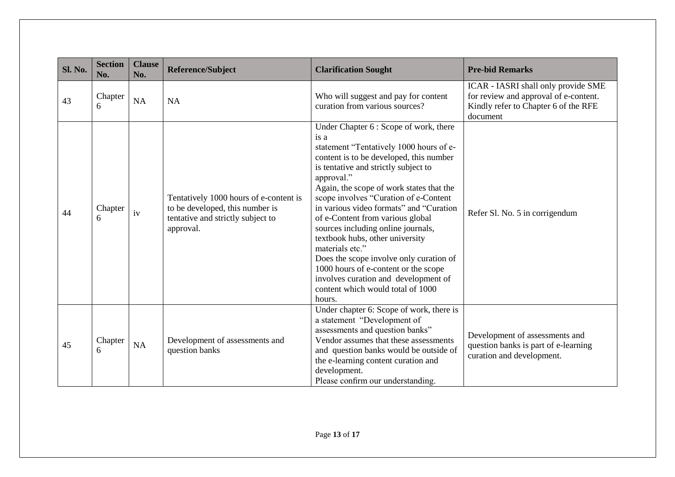| <b>Sl. No.</b> | <b>Section</b><br>No. | <b>Clause</b><br>No. | Reference/Subject                                                                                                           | <b>Clarification Sought</b>                                                                                                                                                                                                                                                                                                                                                                                                                                                                                                                                                                                                          | <b>Pre-bid Remarks</b>                                                                                                           |
|----------------|-----------------------|----------------------|-----------------------------------------------------------------------------------------------------------------------------|--------------------------------------------------------------------------------------------------------------------------------------------------------------------------------------------------------------------------------------------------------------------------------------------------------------------------------------------------------------------------------------------------------------------------------------------------------------------------------------------------------------------------------------------------------------------------------------------------------------------------------------|----------------------------------------------------------------------------------------------------------------------------------|
| 43             | Chapter<br>6          | <b>NA</b>            | <b>NA</b>                                                                                                                   | Who will suggest and pay for content<br>curation from various sources?                                                                                                                                                                                                                                                                                                                                                                                                                                                                                                                                                               | ICAR - IASRI shall only provide SME<br>for review and approval of e-content.<br>Kindly refer to Chapter 6 of the RFE<br>document |
| 44             | Chapter<br>6          | iv                   | Tentatively 1000 hours of e-content is<br>to be developed, this number is<br>tentative and strictly subject to<br>approval. | Under Chapter 6 : Scope of work, there<br>is a<br>statement "Tentatively 1000 hours of e-<br>content is to be developed, this number<br>is tentative and strictly subject to<br>approval."<br>Again, the scope of work states that the<br>scope involves "Curation of e-Content<br>in various video formats" and "Curation<br>of e-Content from various global<br>sources including online journals,<br>textbook hubs, other university<br>materials etc."<br>Does the scope involve only curation of<br>1000 hours of e-content or the scope<br>involves curation and development of<br>content which would total of 1000<br>hours. | Refer Sl. No. 5 in corrigendum                                                                                                   |
| 45             | Chapter<br>6          | NA                   | Development of assessments and<br>question banks                                                                            | Under chapter 6: Scope of work, there is<br>a statement "Development of<br>assessments and question banks"<br>Vendor assumes that these assessments<br>and question banks would be outside of<br>the e-learning content curation and<br>development.<br>Please confirm our understanding.                                                                                                                                                                                                                                                                                                                                            | Development of assessments and<br>question banks is part of e-learning<br>curation and development.                              |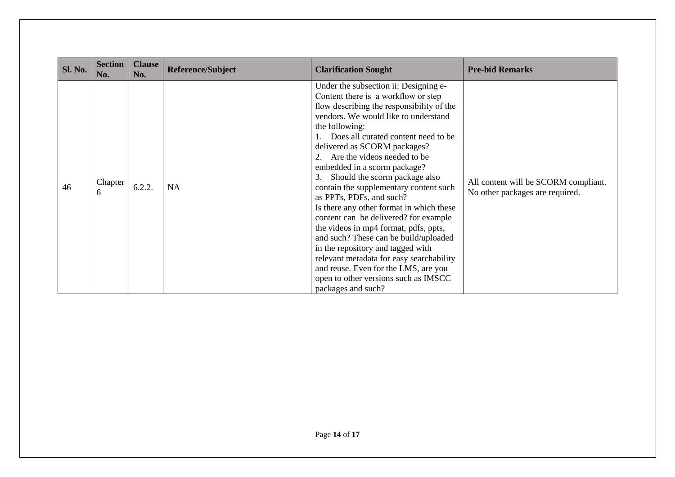| <b>Sl. No.</b> | <b>Section</b><br>No. | <b>Clause</b><br>No. | <b>Reference/Subject</b> | <b>Clarification Sought</b>                                                                                                                                                                                                                                                                                                                                                                                                                                                                                                                                                                                                                                                                                                                                                                          | <b>Pre-bid Remarks</b>                                                  |
|----------------|-----------------------|----------------------|--------------------------|------------------------------------------------------------------------------------------------------------------------------------------------------------------------------------------------------------------------------------------------------------------------------------------------------------------------------------------------------------------------------------------------------------------------------------------------------------------------------------------------------------------------------------------------------------------------------------------------------------------------------------------------------------------------------------------------------------------------------------------------------------------------------------------------------|-------------------------------------------------------------------------|
| 46             | Chapter<br>6          | 6.2.2.               | <b>NA</b>                | Under the subsection ii: Designing e-<br>Content there is a workflow or step<br>flow describing the responsibility of the<br>vendors. We would like to understand<br>the following:<br>Does all curated content need to be<br>delivered as SCORM packages?<br>Are the videos needed to be<br>embedded in a scorm package?<br>Should the scorm package also<br>3.<br>contain the supplementary content such<br>as PPTs, PDFs, and such?<br>Is there any other format in which these<br>content can be delivered? for example<br>the videos in mp4 format, pdfs, ppts,<br>and such? These can be build/uploaded<br>in the repository and tagged with<br>relevant metadata for easy searchability<br>and reuse. Even for the LMS, are you<br>open to other versions such as IMSCC<br>packages and such? | All content will be SCORM compliant.<br>No other packages are required. |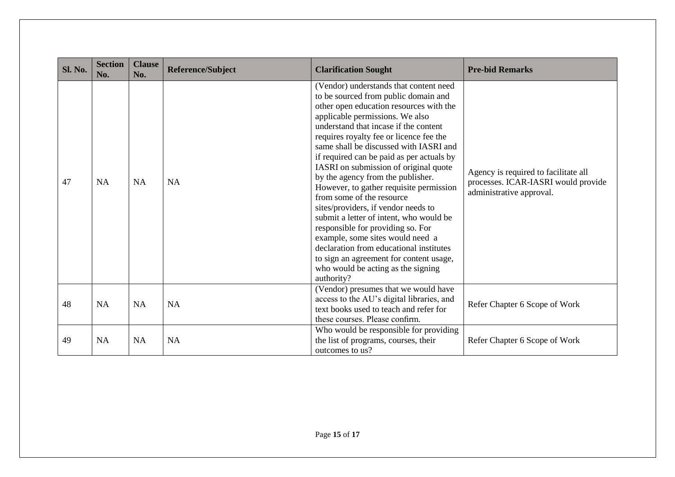| <b>Sl. No.</b> | <b>Section</b><br>No. | <b>Clause</b><br>No. | <b>Reference/Subject</b> | <b>Clarification Sought</b>                                                                                                                                                                                                                                                                                                                                                                                                                                                                                                                                                                                                                                                                                                                                                                        | <b>Pre-bid Remarks</b>                                                                                  |
|----------------|-----------------------|----------------------|--------------------------|----------------------------------------------------------------------------------------------------------------------------------------------------------------------------------------------------------------------------------------------------------------------------------------------------------------------------------------------------------------------------------------------------------------------------------------------------------------------------------------------------------------------------------------------------------------------------------------------------------------------------------------------------------------------------------------------------------------------------------------------------------------------------------------------------|---------------------------------------------------------------------------------------------------------|
| 47             | <b>NA</b>             | <b>NA</b>            | <b>NA</b>                | (Vendor) understands that content need<br>to be sourced from public domain and<br>other open education resources with the<br>applicable permissions. We also<br>understand that incase if the content<br>requires royalty fee or licence fee the<br>same shall be discussed with IASRI and<br>if required can be paid as per actuals by<br>IASRI on submission of original quote<br>by the agency from the publisher.<br>However, to gather requisite permission<br>from some of the resource<br>sites/providers, if vendor needs to<br>submit a letter of intent, who would be<br>responsible for providing so. For<br>example, some sites would need a<br>declaration from educational institutes<br>to sign an agreement for content usage,<br>who would be acting as the signing<br>authority? | Agency is required to facilitate all<br>processes. ICAR-IASRI would provide<br>administrative approval. |
| 48             | <b>NA</b>             | <b>NA</b>            | <b>NA</b>                | (Vendor) presumes that we would have<br>access to the AU's digital libraries, and<br>text books used to teach and refer for<br>these courses. Please confirm.                                                                                                                                                                                                                                                                                                                                                                                                                                                                                                                                                                                                                                      | Refer Chapter 6 Scope of Work                                                                           |
| 49             | <b>NA</b>             | <b>NA</b>            | <b>NA</b>                | Who would be responsible for providing<br>the list of programs, courses, their<br>outcomes to us?                                                                                                                                                                                                                                                                                                                                                                                                                                                                                                                                                                                                                                                                                                  | Refer Chapter 6 Scope of Work                                                                           |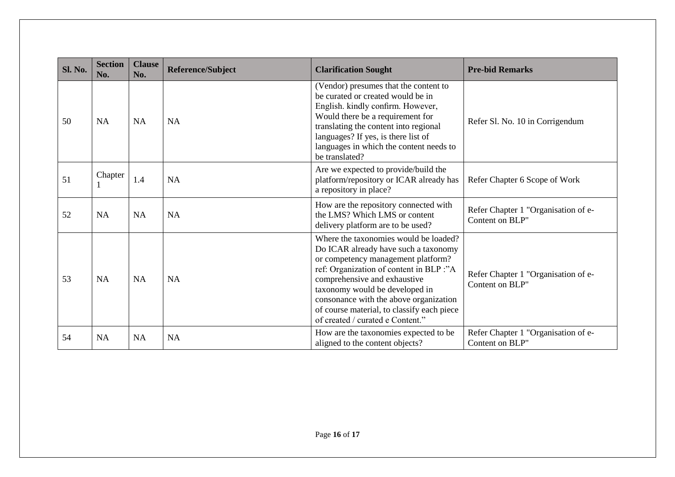| <b>Sl. No.</b> | <b>Section</b><br>No. | <b>Clause</b><br>No. | Reference/Subject | <b>Clarification Sought</b>                                                                                                                                                                                                                                                                                                                                  | <b>Pre-bid Remarks</b>                                 |
|----------------|-----------------------|----------------------|-------------------|--------------------------------------------------------------------------------------------------------------------------------------------------------------------------------------------------------------------------------------------------------------------------------------------------------------------------------------------------------------|--------------------------------------------------------|
| 50             | <b>NA</b>             | <b>NA</b>            | <b>NA</b>         | (Vendor) presumes that the content to<br>be curated or created would be in<br>English. kindly confirm. However,<br>Would there be a requirement for<br>translating the content into regional<br>languages? If yes, is there list of<br>languages in which the content needs to<br>be translated?                                                             | Refer Sl. No. 10 in Corrigendum                        |
| 51             | Chapter               | 1.4                  | <b>NA</b>         | Are we expected to provide/build the<br>platform/repository or ICAR already has<br>a repository in place?                                                                                                                                                                                                                                                    | Refer Chapter 6 Scope of Work                          |
| 52             | <b>NA</b>             | <b>NA</b>            | <b>NA</b>         | How are the repository connected with<br>the LMS? Which LMS or content<br>delivery platform are to be used?                                                                                                                                                                                                                                                  | Refer Chapter 1 "Organisation of e-<br>Content on BLP" |
| 53             | <b>NA</b>             | <b>NA</b>            | <b>NA</b>         | Where the taxonomies would be loaded?<br>Do ICAR already have such a taxonomy<br>or competency management platform?<br>ref: Organization of content in BLP :"A<br>comprehensive and exhaustive<br>taxonomy would be developed in<br>consonance with the above organization<br>of course material, to classify each piece<br>of created / curated e Content." | Refer Chapter 1 "Organisation of e-<br>Content on BLP" |
| 54             | <b>NA</b>             | <b>NA</b>            | <b>NA</b>         | How are the taxonomies expected to be<br>aligned to the content objects?                                                                                                                                                                                                                                                                                     | Refer Chapter 1 "Organisation of e-<br>Content on BLP" |